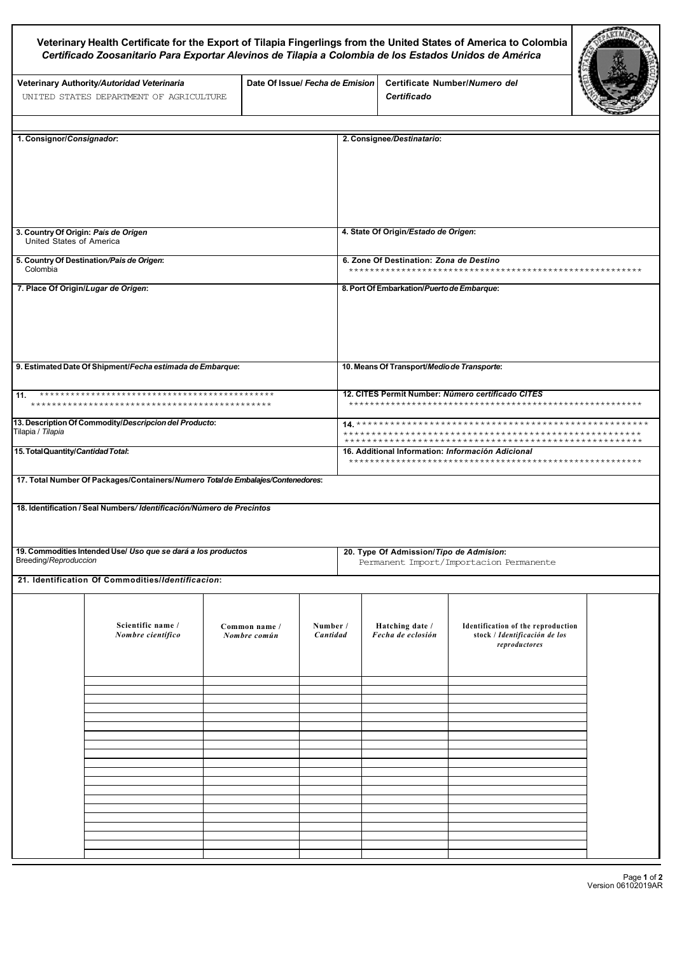|                                                                                        | Certificado Zoosanitario Para Exportar Alevinos de Tilapia a Colombia de los Estados Unidos de América |                                 |                      |                                                                                    | Veterinary Health Certificate for the Export of Tilapia Fingerlings from the United States of America to Colombia |  |  |
|----------------------------------------------------------------------------------------|--------------------------------------------------------------------------------------------------------|---------------------------------|----------------------|------------------------------------------------------------------------------------|-------------------------------------------------------------------------------------------------------------------|--|--|
|                                                                                        | Veterinary Authority/Autoridad Veterinaria<br>UNITED STATES DEPARTMENT OF AGRICULTURE                  | Date Of Issue/ Fecha de Emision |                      | Certificado                                                                        | Certificate Number/Numero del                                                                                     |  |  |
| 1. Consignor/Consignador:                                                              |                                                                                                        |                                 |                      | 2. Consignee/Destinatario:                                                         |                                                                                                                   |  |  |
|                                                                                        |                                                                                                        |                                 |                      |                                                                                    |                                                                                                                   |  |  |
| 3. Country Of Origin: País de Origen<br>United States of America                       |                                                                                                        |                                 |                      | 4. State Of Origin/Estado de Origen:                                               |                                                                                                                   |  |  |
| 5. Country Of Destination/Pais de Origen:<br>Colombia                                  |                                                                                                        |                                 |                      | 6. Zone Of Destination: Zona de Destino                                            |                                                                                                                   |  |  |
| 7. Place Of Origin/Lugar de Origen:                                                    |                                                                                                        |                                 |                      | 8. Port Of Embarkation/Puerto de Embarque:                                         |                                                                                                                   |  |  |
| 9. Estimated Date Of Shipment/Fecha estimada de Embarque:                              |                                                                                                        |                                 |                      | 10. Means Of Transport/Medio de Transporte:                                        |                                                                                                                   |  |  |
| Г11.                                                                                   |                                                                                                        |                                 |                      | 12. CITES Permit Number: Número certificado CITES                                  |                                                                                                                   |  |  |
| 13. Description Of Commodity/Descripcion del Producto:<br>Tilapia / Tilapia            |                                                                                                        |                                 |                      | ****************<br>*******************                                            |                                                                                                                   |  |  |
| 15. Total Quantity/Cantidad Total:                                                     |                                                                                                        |                                 |                      | 16. Additional Information: Información Adicional                                  |                                                                                                                   |  |  |
|                                                                                        | 17. Total Number Of Packages/Containers/Numero Total de Embalajes/Contenedores:                        |                                 |                      |                                                                                    |                                                                                                                   |  |  |
|                                                                                        | 18. Identification / Seal Numbers/ Identificación/Número de Precintos                                  |                                 |                      |                                                                                    |                                                                                                                   |  |  |
| 19. Commodities Intended Use/ Uso que se dará a los productos<br>Breeding/Reproduccion |                                                                                                        |                                 |                      | 20. Type Of Admission/Tipo de Admision:<br>Permanent Import/Importacion Permanente |                                                                                                                   |  |  |
|                                                                                        | 21. Identification Of Commodities/Identificacion:                                                      |                                 |                      |                                                                                    |                                                                                                                   |  |  |
|                                                                                        | Scientific name /<br>Nombre científico                                                                 | Common name /<br>Nombre común   | Number /<br>Cantidad | Hatching date /<br>Fecha de eclosión                                               | Identification of the reproduction<br>stock / Identificación de los<br>reproductores                              |  |  |
|                                                                                        |                                                                                                        |                                 |                      |                                                                                    |                                                                                                                   |  |  |
|                                                                                        |                                                                                                        |                                 |                      |                                                                                    |                                                                                                                   |  |  |
|                                                                                        |                                                                                                        |                                 |                      |                                                                                    |                                                                                                                   |  |  |
|                                                                                        |                                                                                                        |                                 |                      |                                                                                    |                                                                                                                   |  |  |
|                                                                                        |                                                                                                        |                                 |                      |                                                                                    |                                                                                                                   |  |  |
|                                                                                        |                                                                                                        |                                 |                      |                                                                                    |                                                                                                                   |  |  |
|                                                                                        |                                                                                                        |                                 |                      |                                                                                    |                                                                                                                   |  |  |